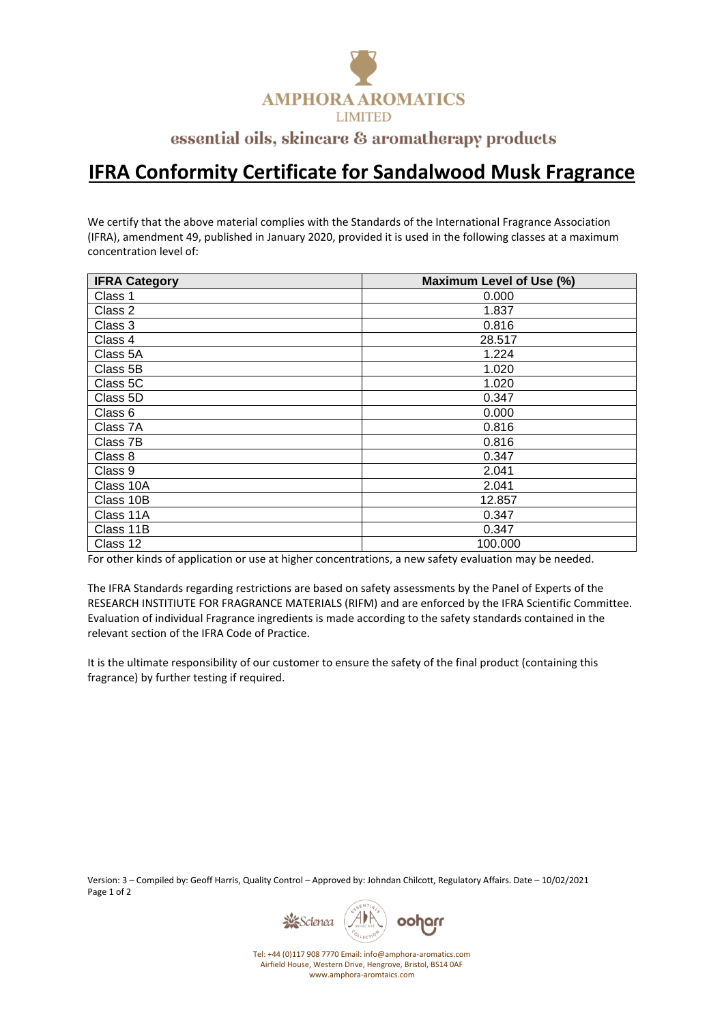

## essential oils, skincare & aromatherapy products

## **IFRA Conformity Certificate for Sandalwood Musk Fragrance**

We certify that the above material complies with the Standards of the International Fragrance Association (IFRA), amendment 49, published in January 2020, provided it is used in the following classes at a maximum concentration level of:

| <b>IFRA Category</b> | Maximum Level of Use (%) |
|----------------------|--------------------------|
| Class 1              | 0.000                    |
| Class 2              | 1.837                    |
| Class 3              | 0.816                    |
| Class 4              | 28.517                   |
| Class 5A             | 1.224                    |
| Class 5B             | 1.020                    |
| Class 5C             | 1.020                    |
| Class 5D             | 0.347                    |
| Class 6              | 0.000                    |
| Class 7A             | 0.816                    |
| Class 7B             | 0.816                    |
| Class 8              | 0.347                    |
| Class 9              | 2.041                    |
| Class 10A            | 2.041                    |
| Class 10B            | 12.857                   |
| Class 11A            | 0.347                    |
| Class 11B            | 0.347                    |
| Class 12             | 100.000                  |

For other kinds of application or use at higher concentrations, a new safety evaluation may be needed.

The IFRA Standards regarding restrictions are based on safety assessments by the Panel of Experts of the RESEARCH INSTITIUTE FOR FRAGRANCE MATERIALS (RIFM) and are enforced by the IFRA Scientific Committee. Evaluation of individual Fragrance ingredients is made according to the safety standards contained in the relevant section of the IFRA Code of Practice.

It is the ultimate responsibility of our customer to ensure the safety of the final product (containing this fragrance) by further testing if required.

Version: 3 – Compiled by: Geoff Harris, Quality Control – Approved by: Johndan Chilcott, Regulatory Affairs. Date – 10/02/2021 Page 1 of 2



Tel: +44 (0)117 908 7770 Email: info@amphora-aromatics.com Airfield House, Western Drive, Hengrove, Bristol, BS14 0AF www.amphora-aromtaics.com